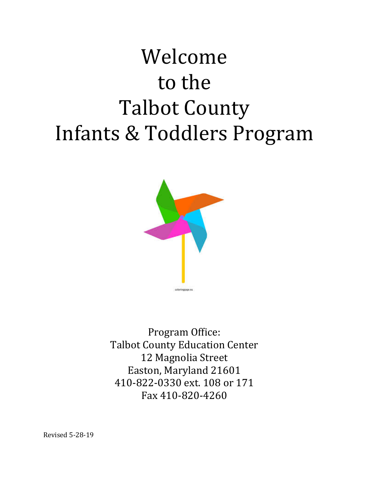# Welcome to the **Talbot County** Infants & Toddlers Program



Program Office: **Talbot County Education Center** 12 Magnolia Street Easton, Maryland 21601 410-822-0330 ext. 108 or 171 Fax 410-820-4260

Revised 5-28-19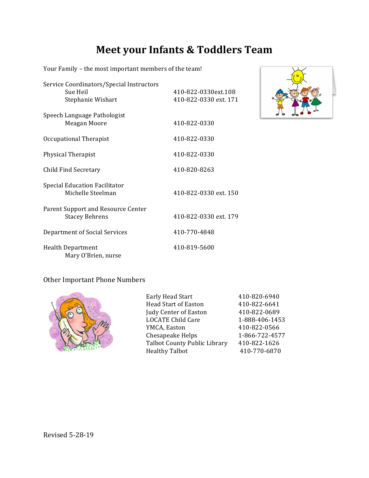### **Meet your Infants & Toddlers Team**

Service Coordinators/Special Instructors Sue Heil 410-822-0330ext.108 Stephanie Wishart 410-822-0330 ext. 171 Speech Language Pathologist Meagan Moore 410-822-0330 Occupational Therapist 410-822-0330 Physical Therapist 410-822-0330 Child Find Secretary 410-820-8263 Special Education Facilitator Michelle Steelman 410-822-0330 ext. 150 Parent Support and Resource Center Stacey Behrens 410-822-0330 ext. 179 Department of Social Services 410-770-4848 Health Department 410-819-5600 Mary O'Brien, nurse

Your Family - the most important members of the team!



#### Other Important Phone Numbers



| Early Head Start                    | 410-820-6940   |
|-------------------------------------|----------------|
| <b>Head Start of Easton</b>         | 410-822-6641   |
| Judy Center of Easton               | 410-822-0689   |
| <b>LOCATE Child Care</b>            | 1-888-406-1453 |
| YMCA, Easton                        | 410-822-0566   |
| Chesapeake Helps                    | 1-866-722-4577 |
| <b>Talbot County Public Library</b> | 410-822-1626   |
| <b>Healthy Talbot</b>               | 410-770-6870   |
|                                     |                |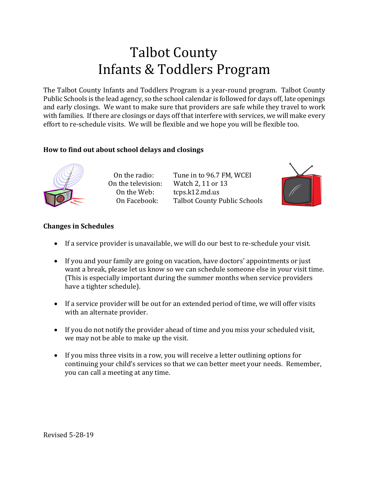# **Talbot County** Infants & Toddlers Program

The Talbot County Infants and Toddlers Program is a year-round program. Talbot County Public Schools is the lead agency, so the school calendar is followed for days off, late openings and early closings. We want to make sure that providers are safe while they travel to work with families. If there are closings or days off that interfere with services, we will make every effort to re-schedule visits. We will be flexible and we hope you will be flexible too.

### How to find out about school delays and closings



On the radio: Tune in to 96.7 FM, WCEI On the television: Watch 2, 11 or 13 On the Web:  $t_{\text{cps}}$  tcps.k12.md.us On Facebook: Talbot County Public Schools



### **Changes in Schedules**

- If a service provider is unavailable, we will do our best to re-schedule your visit.
- If you and your family are going on vacation, have doctors' appointments or just want a break, please let us know so we can schedule someone else in your visit time. (This is especially important during the summer months when service providers have a tighter schedule).
- If a service provider will be out for an extended period of time, we will offer visits with an alternate provider.
- If you do not notify the provider ahead of time and you miss your scheduled visit, we may not be able to make up the visit.
- If you miss three visits in a row, you will receive a letter outlining options for continuing your child's services so that we can better meet your needs. Remember, you can call a meeting at any time.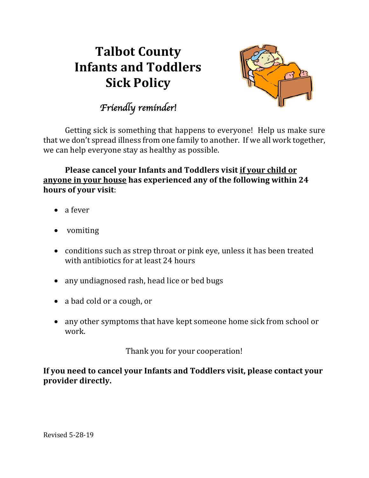# **Talbot County Infants and Toddlers Sick Policy**



*Friendly reminder!* 

Getting sick is something that happens to everyone! Help us make sure that we don't spread illness from one family to another. If we all work together, we can help everyone stay as healthy as possible.

**Please cancel your Infants and Toddlers visit if your child or** anyone in your house has experienced any of the following within 24 hours of your visit:

- a fever
- vomiting
- conditions such as strep throat or pink eye, unless it has been treated with antibiotics for at least 24 hours
- any undiagnosed rash, head lice or bed bugs
- a bad cold or a cough, or
- any other symptoms that have kept someone home sick from school or work.

Thank you for your cooperation!

If you need to cancel your Infants and Toddlers visit, please contact your **provider directly.**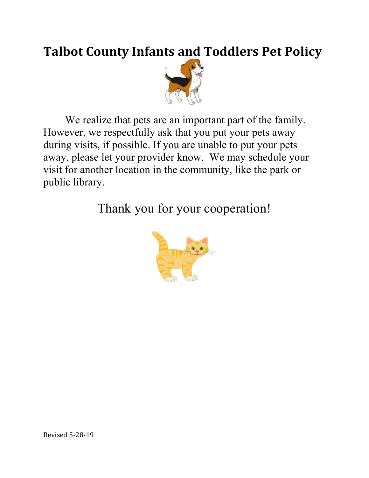# **Talbot County Infants and Toddlers Pet Policy**



We realize that pets are an important part of the family. However, we respectfully ask that you put your pets away during visits, if possible. If you are unable to put your pets away, please let your provider know. We may schedule your visit for another location in the community, like the park or public library.

Thank you for your cooperation!

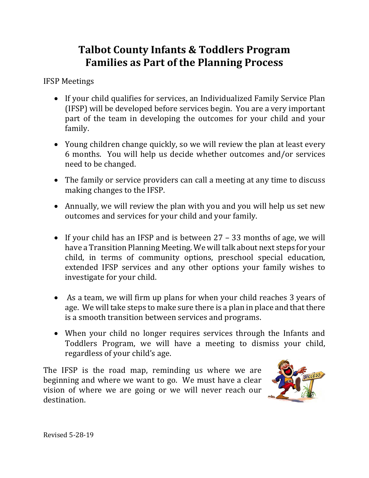### **Talbot County Infants & Toddlers Program Families as Part of the Planning Process**

IFSP Meetings

- If your child qualifies for services, an Individualized Family Service Plan (IFSP) will be developed before services begin. You are a very important part of the team in developing the outcomes for your child and your family.
- Young children change quickly, so we will review the plan at least every 6 months. You will help us decide whether outcomes and/or services need to be changed.
- The family or service providers can call a meeting at any time to discuss making changes to the IFSP.
- Annually, we will review the plan with you and you will help us set new outcomes and services for your child and your family.
- If your child has an IFSP and is between  $27 33$  months of age, we will have a Transition Planning Meeting. We will talk about next steps for your child, in terms of community options, preschool special education, extended IFSP services and any other options your family wishes to investigate for your child.
- As a team, we will firm up plans for when your child reaches 3 years of age. We will take steps to make sure there is a plan in place and that there is a smooth transition between services and programs.
- When your child no longer requires services through the Infants and Toddlers Program, we will have a meeting to dismiss your child, regardless of your child's age.

The IFSP is the road map, reminding us where we are beginning and where we want to go. We must have a clear vision of where we are going or we will never reach our destination.

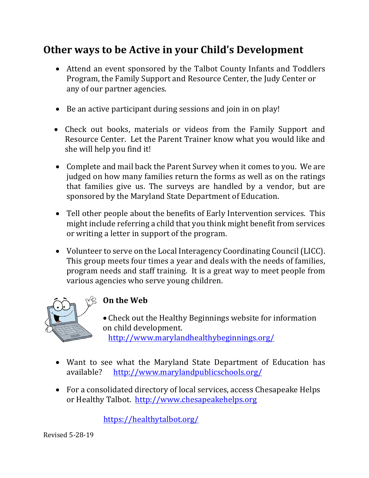# **Other ways to be Active in your Child's Development**

- Attend an event sponsored by the Talbot County Infants and Toddlers Program, the Family Support and Resource Center, the Judy Center or any of our partner agencies.
- Be an active participant during sessions and join in on play!
- Check out books, materials or videos from the Family Support and Resource Center. Let the Parent Trainer know what you would like and she will help you find it!
- Complete and mail back the Parent Survey when it comes to you. We are judged on how many families return the forms as well as on the ratings that families give us. The surveys are handled by a vendor, but are sponsored by the Maryland State Department of Education.
- Tell other people about the benefits of Early Intervention services. This might include referring a child that you think might benefit from services or writing a letter in support of the program.
- Volunteer to serve on the Local Interagency Coordinating Council (LICC). This group meets four times a year and deals with the needs of families, program needs and staff training. It is a great way to meet people from various agencies who serve young children.



### **On the Web**

• Check out the Healthy Beginnings website for information on child development. http://www.marylandhealthybeginnings.org/

- Want to see what the Maryland State Department of Education has available? http://www.marylandpublicschools.org/
- For a consolidated directory of local services, access Chesapeake Helps or Healthy Talbot. http://www.chesapeakehelps.org

 https://healthytalbot.org/

Revised 5-28-19